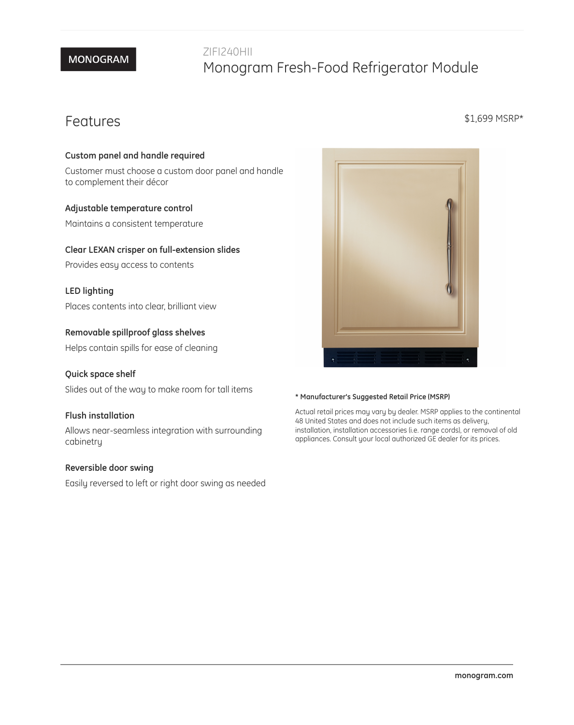# **MONOGRAM**

# ZIFI240HII Monogram Fresh-Food Refrigerator Module

# Features

#### **Custom panel and handle required**

Customer must choose a custom door panel and handle to complement their décor

#### **Adjustable temperature control**

Maintains a consistent temperature

#### **Clear LEXAN crisper on full-extension slides**

Provides easy access to contents

#### **LED lighting**

Places contents into clear, brilliant view

#### **Removable spillproof glass shelves**

Helps contain spills for ease of cleaning

#### **Quick space shelf**

Slides out of the way to make room for tall items

#### **Flush installation**

Allows near-seamless integration with surrounding cabinetry

#### **Reversible door swing**

Easily reversed to left or right door swing as needed



#### **\* Manufacturer's Suggested Retail Price (MSRP)**

Actual retail prices may vary by dealer. MSRP applies to the continental 48 United States and does not include such items as delivery, installation, installation accessories (i.e. range cords), or removal of old appliances. Consult your local authorized GE dealer for its prices.

#### \$1,699 MSRP\*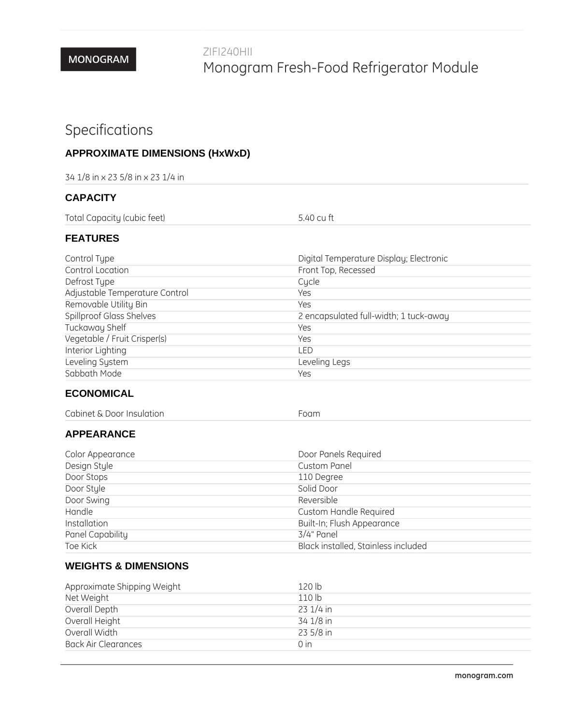# Specifications

# **APPROXIMATE DIMENSIONS (HxWxD)**

| 34 1/8 in x 23 5/8 in x 23 1/4 in |  |  |
|-----------------------------------|--|--|
|-----------------------------------|--|--|

### **CAPACITY**

Total Capacity (cubic feet) 5.40 cu ft

#### **FEATURES**

| Control Type                    | Digital Temperature Display; Electronic |
|---------------------------------|-----------------------------------------|
| Control Location                | Front Top, Recessed                     |
| Defrost Type                    | Cycle                                   |
| Adjustable Temperature Control  | Yes                                     |
| Removable Utility Bin           | Yes                                     |
| <b>Spillproof Glass Shelves</b> | 2 encapsulated full-width; 1 tuck-away  |
| Tuckaway Shelf                  | Yes                                     |
| Vegetable / Fruit Crisper(s)    | Yes                                     |
| Interior Lighting               | I FD                                    |
| Leveling System                 | Leveling Legs                           |
| Sabbath Mode                    | Yes                                     |

## **ECONOMICAL**

| Cabinet & Door Insulation | Foam |
|---------------------------|------|
|---------------------------|------|

## **APPEARANCE**

| Color Appearance | Door Panels Required                |
|------------------|-------------------------------------|
| Design Style     | <b>Custom Panel</b>                 |
| Door Stops       | 110 Degree                          |
| Door Style       | Solid Door                          |
| Door Swing       | Reversible                          |
| Handle           | Custom Handle Required              |
| Installation     | Built-In; Flush Appearance          |
| Panel Capability | 3/4" Panel                          |
| Toe Kick         | Black installed, Stainless included |

## **WEIGHTS & DIMENSIONS**

| Approximate Shipping Weight | 120 lb           |
|-----------------------------|------------------|
| Net Weight                  | 110 <sub>h</sub> |
| Overall Depth               | 23 1/4 in        |
| Overall Height              | 34 1/8 in        |
| Overall Width               | $235/8$ in       |
| <b>Back Air Clearances</b>  | 0 <sub>in</sub>  |